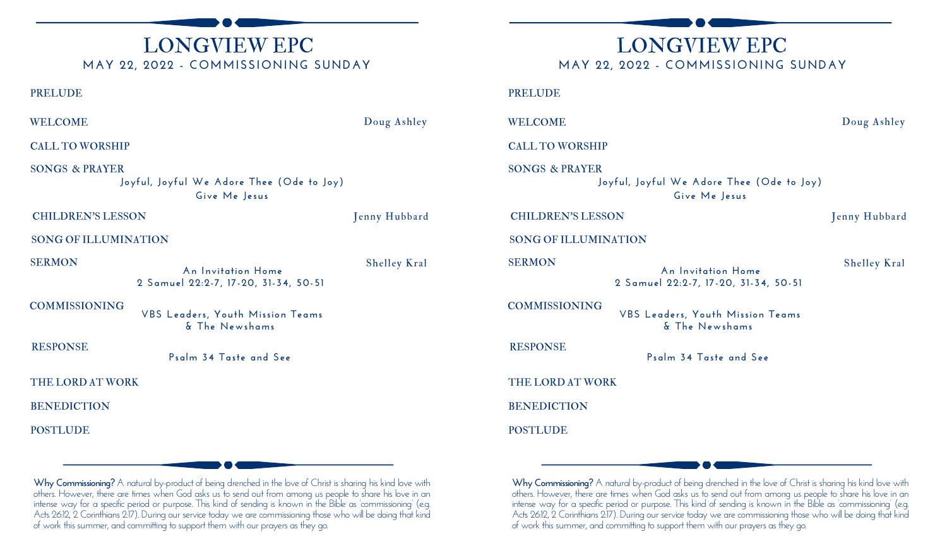# LONGVIEW EPC **MAY 22, 2022 - COMMISSIONING SUNDAY**

PRELUDE

WELCOME Doug Ashley

Shelley Kral

CALL TO WORSHIP

SONGS & PRAYER **Joyful, Joyful We Adore Thee (Ode to Joy) Give Me Jesus**

#### CHILDREN'S LESSON Jenny Hubbard

SONG OF ILLUMINATION

SERMON **An Invitation Home 2 Samuel 22:2-7, 17-20, 31-34, 50-51**

COMMISSIONING

**VBS Leaders, Youth Mission Teams & The Newshams**

RESPONSE

**Psalm 34 Taste and See**

THE LORD AT WORK

**BENEDICTION** 

**POSTLUDE** 

LONGVIEW EPC **MAY 22, 2022 - COMMISSIONING SUNDAY**

PRELUDE

WELCOME Doug Ashley

CALL TO WORSHIP

SONGS & PRAYER **Joyful, Joyful We Adore Thee (Ode to Joy) Give Me Jesus**

CHILDREN'S LESSON Jenny Hubbard

SONG OF ILLUMINATION

SERMON

**An Invitation Home 2 Samuel 22:2-7, 17-20, 31-34, 50-51**

COMMISSIONING

**VBS Leaders, Youth Mission Teams & The Newshams**

**Psalm 34 Taste and See**

THE LORD AT WORK

BENEDICTION

**POSTLUDE** 

RESPONSE

**Why Commissioning?** A natural by-product of being drenched in the love of Christ is sharing his kind love with others. However, there are times when God asks us to send out from among us people to share his love in an intense way for a specific period or purpose. This kind of sending is known in the Bible as 'commissioning' (e.g. Acts 26:12, 2 Corinthians 2:17). During our service today we are commissioning those who will be doing that kind of work this summer, and committing to support them with our prayers as they go.

**Why Commissioning?** A natural by-product of being drenched in the love of Christ is sharing his kind love with others. However, there are times when God asks us to send out from among us people to share his love in an intense way for a specific period or purpose. This kind of sending is known in the Bible as 'commissioning' (e.g. Acts 26:12, 2 Corinthians 2:17). During our service today we are commissioning those who will be doing that kind of work this summer, and committing to support them with our prayers as they go.

Shelley Kral